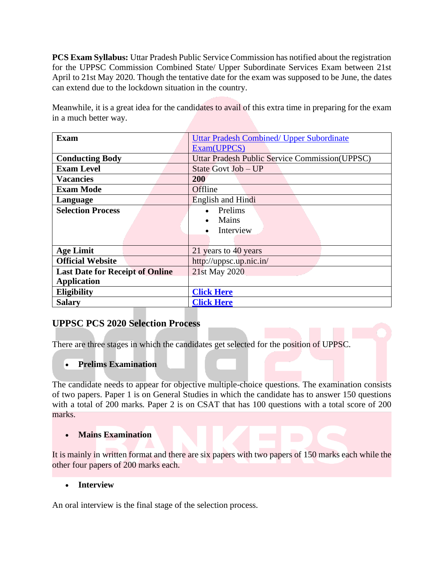**PCS Exam Syllabus:** Uttar Pradesh Public Service Commission has notified about the registration for the UPPSC Commission Combined State/ Upper Subordinate Services Exam between 21st April to 21st May 2020. Though the tentative date for the exam was supposed to be June, the dates can extend due to the lockdown situation in the country.

Meanwhile, it is a great idea for the candidates to avail of this extra time in preparing for the exam in a much better way.

| <b>Exam</b>                            | <b>Uttar Pradesh Combined/ Upper Subordinate</b>       |  |
|----------------------------------------|--------------------------------------------------------|--|
|                                        | Exam(UPPCS)                                            |  |
| <b>Conducting Body</b>                 | <b>Uttar Pradesh Public Service Commission (UPPSC)</b> |  |
| <b>Exam Level</b>                      | State Govt Job - UP                                    |  |
| <b>Vacancies</b>                       | 200                                                    |  |
| <b>Exam Mode</b>                       | Offline                                                |  |
| Language                               | English and Hindi                                      |  |
| <b>Selection Process</b>               | Prelims                                                |  |
|                                        | Mains                                                  |  |
|                                        | Interview                                              |  |
|                                        |                                                        |  |
| <b>Age Limit</b>                       | 21 years to 40 years                                   |  |
| <b>Official Website</b>                | http://uppsc.up.nic.in/                                |  |
| <b>Last Date for Receipt of Online</b> | 21st May 2020                                          |  |
| <b>Application</b>                     |                                                        |  |
| <b>Eligibility</b>                     | <b>Click Here</b>                                      |  |
| <b>Salary</b>                          | <b>Click Here</b>                                      |  |

# **UPPSC PCS 2020 Selection Process**

There are three stages in which the candidates get selected for the position of UPPSC.

### • **Prelims Examination**

The candidate needs to appear for objective multiple-choice questions. The examination consists of two papers. Paper 1 is on General Studies in which the candidate has to answer 150 questions with a total of 200 marks. Paper 2 is on CSAT that has 100 questions with a total score of 200 marks.

### • **Mains Examination**

It is mainly in written format and there are six papers with two papers of 150 marks each while the other four papers of 200 marks each.

### • **Interview**

An oral interview is the final stage of the selection process.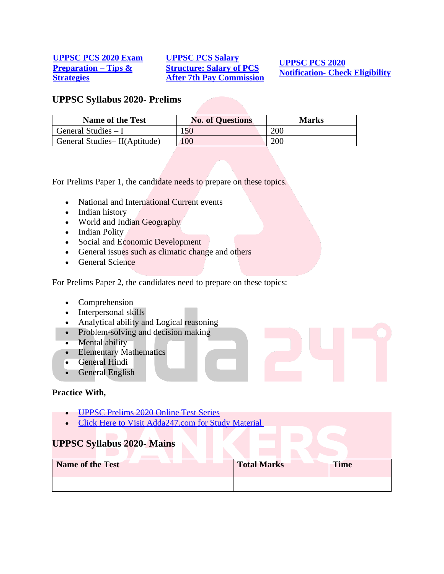#### **[UPPSC PCS 2020 Exam](https://www.bankersadda.com/uppsc-pcs-2020-exam-preparation-tips-strategies/)  [Preparation –](https://www.bankersadda.com/uppsc-pcs-2020-exam-preparation-tips-strategies/) Tips & [Strategies](https://www.bankersadda.com/uppsc-pcs-2020-exam-preparation-tips-strategies/)**

**[UPPSC PCS Salary](https://www.bankersadda.com/uppsc-pcs-salary-structure-salary-of-pcs-after-7th-pay-commission/)  [Structure: Salary of PCS](https://www.bankersadda.com/uppsc-pcs-salary-structure-salary-of-pcs-after-7th-pay-commission/)  [After 7th Pay Commission](https://www.bankersadda.com/uppsc-pcs-salary-structure-salary-of-pcs-after-7th-pay-commission/)**

**[UPPSC PCS 2020](https://www.bankersadda.com/uppsc-pcs-2020-notification-check-important-uppsc-exam-dates-and-eligibility-criteria/)  Notification- [Check Eligibility](https://www.bankersadda.com/uppsc-pcs-2020-notification-check-important-uppsc-exam-dates-and-eligibility-criteria/)**

### **UPPSC Syllabus 2020- Prelims**

| <b>Name of the Test</b>      | <b>No. of Questions</b> | Marks |
|------------------------------|-------------------------|-------|
| General Studies $-I$         | 150                     | 200   |
| General Studies-II(Aptitude) | 100                     | 200   |

For Prelims Paper 1, the candidate needs to prepare on these topics.

- National and International Current events
- Indian history
- World and Indian Geography
- Indian Polity
- Social and Economic Development
- General issues such as climatic change and others
- General Science

For Prelims Paper 2, the candidates need to prepare on these topics:

- Comprehension
- Interpersonal skills
- Analytical ability and Logical reasoning
- Problem-solving and decision making
- Mental ability
- Elementary Mathematics
- General Hindi
- General English

#### **Practice With,**

- [UPPSC Prelims 2020 Online Test Series](https://www.adda247.com/product-testseries/5323/uppsc-prelims-2020-online-test-series)
- [Click Here to Visit Adda247.com for Study Material](https://www.adda247.com/?utm_source=bankersadda&utm_medium=article)

# **UPPSC Syllabus 2020- Mains**

| <b>Name of the Test</b> | <b>Total Marks</b> | <b>Time</b> |
|-------------------------|--------------------|-------------|
|                         |                    |             |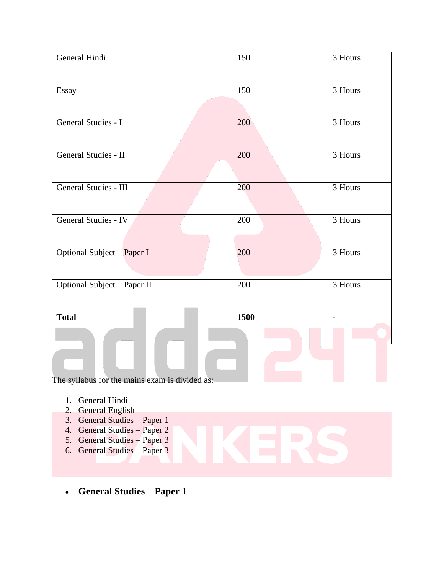| General Hindi               | 150  | 3 Hours |
|-----------------------------|------|---------|
| Essay                       | 150  | 3 Hours |
| General Studies - I         | 200  | 3 Hours |
| General Studies - II        | 200  | 3 Hours |
| General Studies - III       | 200  | 3 Hours |
| General Studies - IV        | 200  | 3 Hours |
| Optional Subject - Paper I  | 200  | 3 Hours |
| Optional Subject - Paper II | 200  | 3 Hours |
| <b>Total</b>                | 1500 |         |
|                             |      |         |
|                             |      |         |

The syllabus for the mains exam is divided as:

- 1. General Hindi
- 2. General English
- 3. General Studies Paper 1
- 4. General Studies Paper 2
- 5. General Studies Paper 3
- 6. General Studies Paper 3
- **General Studies – Paper 1**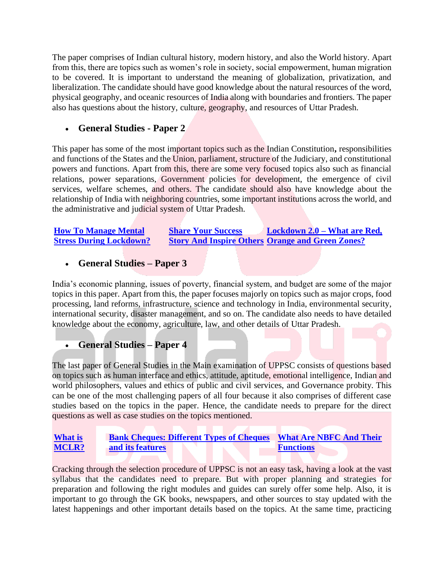The paper comprises of Indian cultural history, modern history, and also the World history. Apart from this, there are topics such as women's role in society, social empowerment, human migration to be covered. It is important to understand the meaning of globalization, privatization, and liberalization. The candidate should have good knowledge about the natural resources of the word, physical geography, and oceanic resources of India along with boundaries and frontiers. The paper also has questions about the history, culture, geography, and resources of Uttar Pradesh.

# • **General Studies - Paper 2**

This paper has some of the most important topics such as the Indian Constitution**,** responsibilities and functions of the States and the Union, parliament, structure of the Judiciary, and constitutional powers and functions. Apart from this, there are some very focused topics also such as financial relations, power separations, Government policies for development, the emergence of civil services, welfare schemes, and others. The candidate should also have knowledge about the relationship of India with neighboring countries, some important institutions across the world, and the administrative and judicial system of Uttar Pradesh.

| <b>How To Manage Mental</b>    | <b>Share Your Success</b> | Lockdown 2.0 – What are Red,                            |
|--------------------------------|---------------------------|---------------------------------------------------------|
| <b>Stress During Lockdown?</b> |                           | <b>Story And Inspire Others Orange and Green Zones?</b> |

# • **General Studies – Paper 3**

India's economic planning, issues of poverty, financial system, and budget are some of the major topics in this paper. Apart from this, the paper focuses majorly on topics such as major crops, food processing, land reforms, infrastructure, science and technology in India, environmental security, international security, disaster management, and so on. The candidate also needs to have detailed knowledge about the economy, agriculture, law, and other details of Uttar Pradesh.

# • **General Studies – Paper 4**

The last paper of General Studies in the Main examination of UPPSC consists of questions based on topics such as human interface and ethics, attitude, aptitude, emotional intelligence, Indian and world philosophers, values and ethics of public and civil services, and Governance probity. This can be one of the most challenging papers of all four because it also comprises of different case studies based on the topics in the paper. Hence, the candidate needs to prepare for the direct questions as well as case studies on the topics mentioned.

#### **[What is](https://www.bankersadda.com/what-is-mclr-and-its-impact-on-indian-economy/)  [MCLR?](https://www.bankersadda.com/what-is-mclr-and-its-impact-on-indian-economy/) [Bank Cheques: Different Types of Cheques](https://www.bankersadda.com/bank-cheques-different-types-of-cheques-and-its-features/)  [and its features](https://www.bankersadda.com/bank-cheques-different-types-of-cheques-and-its-features/) [What Are NBFC And Their](https://www.bankersadda.com/nbfcs-in-india-types-and-functions/)  [Functions](https://www.bankersadda.com/nbfcs-in-india-types-and-functions/)**

Cracking through the selection procedure of UPPSC is not an easy task, having a look at the vast syllabus that the candidates need to prepare. But with proper planning and strategies for preparation and following the right modules and guides can surely offer some help. Also, it is important to go through the GK books, newspapers, and other sources to stay updated with the latest happenings and other important details based on the topics. At the same time, practicing